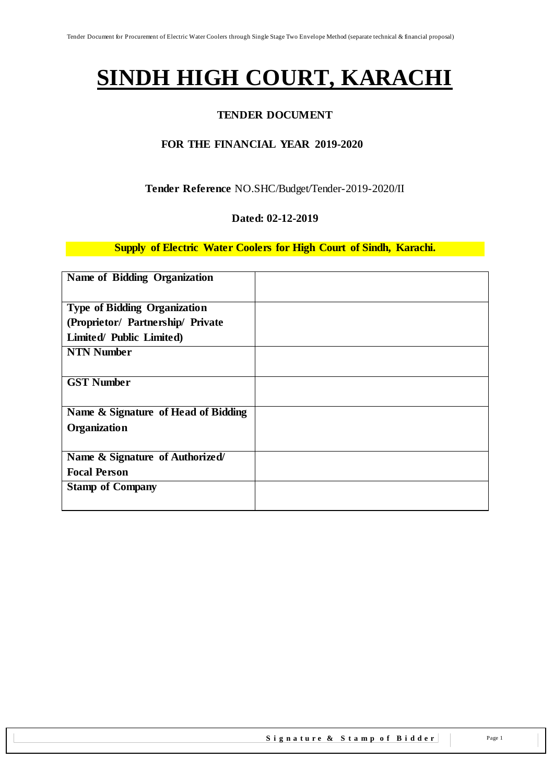# **SINDH HIGH COURT, KARACHI**

## **TENDER DOCUMENT**

## **FOR THE FINANCIAL YEAR 2019-2020**

## **Tender Reference** NO.SHC/Budget/Tender-2019-2020/II

#### **Dated: 02-12-2019**

#### **Supply of Electric Water Coolers for High Court of Sindh, Karachi.**

| Name of Bidding Organization        |  |
|-------------------------------------|--|
| <b>Type of Bidding Organization</b> |  |
|                                     |  |
| (Proprietor/ Partnership/ Private   |  |
| Limited/ Public Limited)            |  |
| <b>NTN Number</b>                   |  |
|                                     |  |
| <b>GST Number</b>                   |  |
|                                     |  |
| Name & Signature of Head of Bidding |  |
| Organization                        |  |
|                                     |  |
| Name & Signature of Authorized/     |  |
| <b>Focal Person</b>                 |  |
| <b>Stamp of Company</b>             |  |
|                                     |  |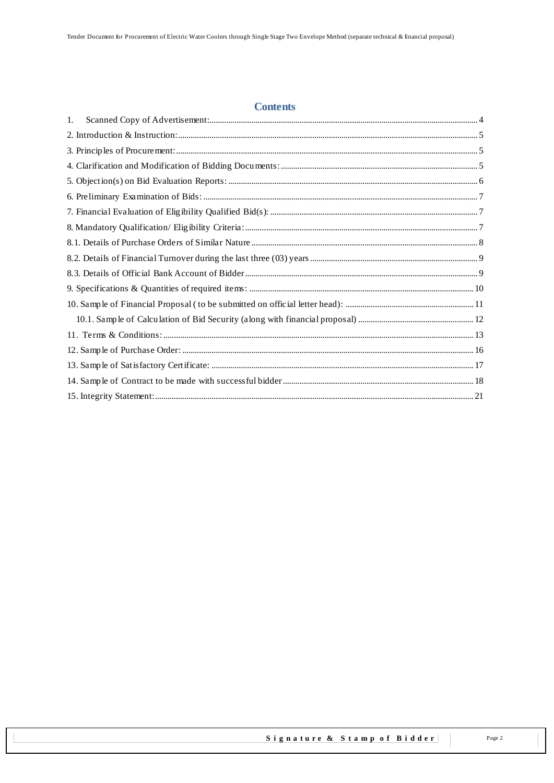#### **Contents**

| 1. |  |
|----|--|
|    |  |
|    |  |
|    |  |
|    |  |
|    |  |
|    |  |
|    |  |
|    |  |
|    |  |
|    |  |
|    |  |
|    |  |
|    |  |
|    |  |
|    |  |
|    |  |
|    |  |
|    |  |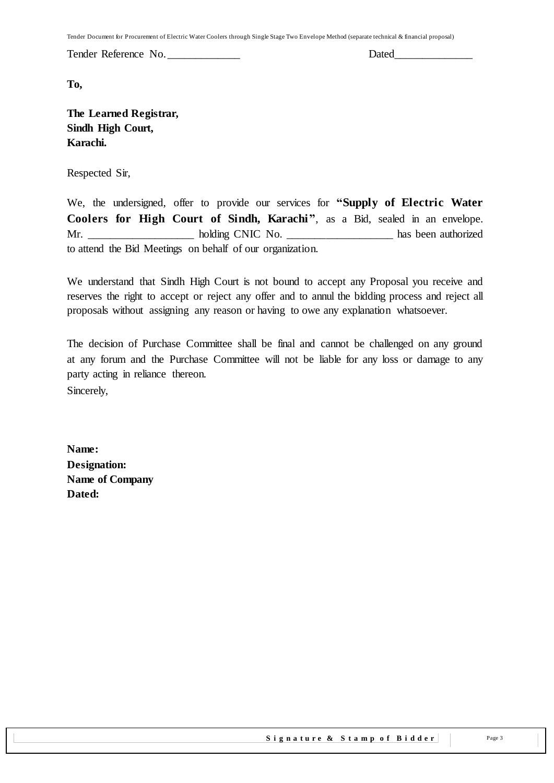Tender Document for Procurement of Electric Water Coolers through Single Stage Two Envelope Method (separate technical & financial proposal)

Tender Reference No. **Dated** 

**To,** 

**The Learned Registrar, Sindh High Court, Karachi.**

Respected Sir,

We, the undersigned, offer to provide our services for **"Supply of Electric Water Coolers for High Court of Sindh, Karachi"**, as a Bid, sealed in an envelope. Mr. \_\_\_\_\_\_\_\_\_\_\_\_\_\_\_\_\_\_\_ holding CNIC No. \_\_\_\_\_\_\_\_\_\_\_\_\_\_\_\_\_\_\_ has been authorized to attend the Bid Meetings on behalf of our organization.

We understand that Sindh High Court is not bound to accept any Proposal you receive and reserves the right to accept or reject any offer and to annul the bidding process and reject all proposals without assigning any reason or having to owe any explanation whatsoever.

The decision of Purchase Committee shall be final and cannot be challenged on any ground at any forum and the Purchase Committee will not be liable for any loss or damage to any party acting in reliance thereon. Sincerely,

**Name: Designation: Name of Company Dated:**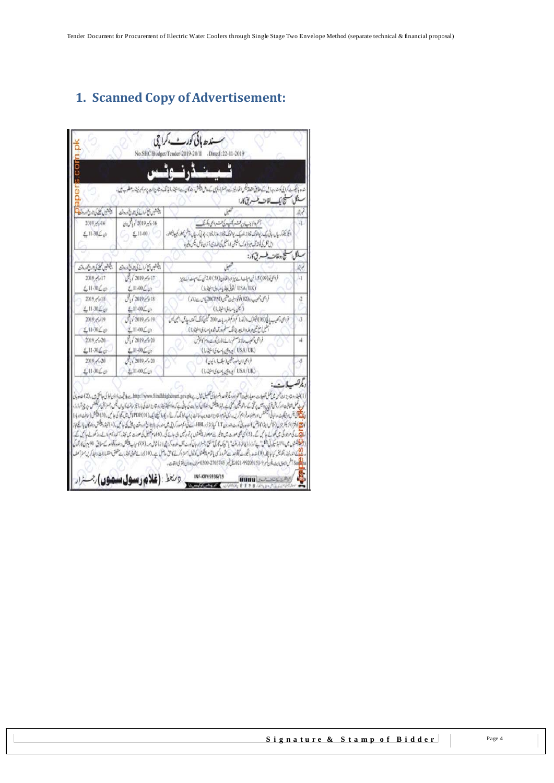# <span id="page-3-0"></span>**1. Scanned Copy of Advertisement:**

| 16 روس 2019 کو باش ون<br>أغموا كزونب أوير فتسر بكسبه كى لسنه والمحار وأكسك<br>2019 - 616<br>$211.30$ (3)<br>$-411-00$<br>يتجر يلتوكرسيال وبالى وكيعدد فيالونك وتبتوز وغويد ويدا لوقتك فأنباز زودزاز بيجتاز زيوقي كرسيال والحش تجعل وتجاوبها فبعيار فبعلوه<br>الل تلل فوائد قل ميز (وك بشيش)، المثل كى المعادى، أمرَّن فائل، يكس وفيره<br>يلكما<br>سيحج وولفات طب مخ كار:<br>ويجتنين لحضاكا بورات<br>وشكوس التاكيان فاردوق<br>to.<br>1/2019, 5/17<br>2019, 5/17<br>فرابحى فر (69) 5. في استان السنة بين اورالخاوان (58) 2.0 في كتابات استان<br>Ä<br>(باری) USA (UK)<br>$2.11 - 30 \angle \psi$<br>$£11-00L$<br>فراجى بحب دە (02) فولوا سىيات شىن (20CPM) سەت (2)<br>$f_{1}$ / 2019 $/$ $\approx$ 18<br>$2019 / \sqrt{v}$ 18<br>$\cdot$ <sub>2</sub><br>( بان باساوی اسلار ( )<br>$11.30\frac{c}{c}$<br>$£11-00$<br>$J_1/2019$ $\sim$ 19<br>فروامی وتصیب یا فی (05) کیلئرک والزکولر( مم از کم از کم اور یات 200 کیلئی کوآنک انگلند، جارش، اشین پس<br>2019 / 919<br>-3<br>$2.11 - 00 \text{L}_\text{c}$<br>الليل مع تحييد عليه الربع، جانف سطم ادرآ مدشده يامساوى سنيترزا)<br>$2.1130$ Co<br>$J_1/2019/5/20$<br>$2019$ $\frac{1}{2}$ $20$<br>قرابسى وتصيب حاؤنات سنم برائدة بالوراني وساعدوهم كالخرش<br>14<br>(Latingly district)<br>$2.11 - 30$<br>$£11-00L$ <sub>22</sub><br>2019/620<br>$\sqrt{(2019 - 20)}$<br>فراجى لان خودر جمين (سيلف إرائيون)<br>$211 - 30$ $\leq$ $0$<br>$2.11 - 00 \leq \omega$<br>$(i, \lambda)$ $(i, \lambda)$ $(i, \lambda)$ $(i, \lambda)$<br>ويرتضب ات |
|------------------------------------------------------------------------------------------------------------------------------------------------------------------------------------------------------------------------------------------------------------------------------------------------------------------------------------------------------------------------------------------------------------------------------------------------------------------------------------------------------------------------------------------------------------------------------------------------------------------------------------------------------------------------------------------------------------------------------------------------------------------------------------------------------------------------------------------------------------------------------------------------------------------------------------------------------------------------------------------------------------------------------------------------------------------------------------------------------------------------------------------------------------------------------------------------------------------------------------------------------------------------------------------------------------------------------------------------------------------------------------------------------------------------------------------------------------------------------------|
|                                                                                                                                                                                                                                                                                                                                                                                                                                                                                                                                                                                                                                                                                                                                                                                                                                                                                                                                                                                                                                                                                                                                                                                                                                                                                                                                                                                                                                                                                    |
|                                                                                                                                                                                                                                                                                                                                                                                                                                                                                                                                                                                                                                                                                                                                                                                                                                                                                                                                                                                                                                                                                                                                                                                                                                                                                                                                                                                                                                                                                    |
|                                                                                                                                                                                                                                                                                                                                                                                                                                                                                                                                                                                                                                                                                                                                                                                                                                                                                                                                                                                                                                                                                                                                                                                                                                                                                                                                                                                                                                                                                    |
|                                                                                                                                                                                                                                                                                                                                                                                                                                                                                                                                                                                                                                                                                                                                                                                                                                                                                                                                                                                                                                                                                                                                                                                                                                                                                                                                                                                                                                                                                    |
|                                                                                                                                                                                                                                                                                                                                                                                                                                                                                                                                                                                                                                                                                                                                                                                                                                                                                                                                                                                                                                                                                                                                                                                                                                                                                                                                                                                                                                                                                    |
|                                                                                                                                                                                                                                                                                                                                                                                                                                                                                                                                                                                                                                                                                                                                                                                                                                                                                                                                                                                                                                                                                                                                                                                                                                                                                                                                                                                                                                                                                    |
|                                                                                                                                                                                                                                                                                                                                                                                                                                                                                                                                                                                                                                                                                                                                                                                                                                                                                                                                                                                                                                                                                                                                                                                                                                                                                                                                                                                                                                                                                    |
|                                                                                                                                                                                                                                                                                                                                                                                                                                                                                                                                                                                                                                                                                                                                                                                                                                                                                                                                                                                                                                                                                                                                                                                                                                                                                                                                                                                                                                                                                    |
|                                                                                                                                                                                                                                                                                                                                                                                                                                                                                                                                                                                                                                                                                                                                                                                                                                                                                                                                                                                                                                                                                                                                                                                                                                                                                                                                                                                                                                                                                    |
|                                                                                                                                                                                                                                                                                                                                                                                                                                                                                                                                                                                                                                                                                                                                                                                                                                                                                                                                                                                                                                                                                                                                                                                                                                                                                                                                                                                                                                                                                    |
|                                                                                                                                                                                                                                                                                                                                                                                                                                                                                                                                                                                                                                                                                                                                                                                                                                                                                                                                                                                                                                                                                                                                                                                                                                                                                                                                                                                                                                                                                    |
|                                                                                                                                                                                                                                                                                                                                                                                                                                                                                                                                                                                                                                                                                                                                                                                                                                                                                                                                                                                                                                                                                                                                                                                                                                                                                                                                                                                                                                                                                    |
|                                                                                                                                                                                                                                                                                                                                                                                                                                                                                                                                                                                                                                                                                                                                                                                                                                                                                                                                                                                                                                                                                                                                                                                                                                                                                                                                                                                                                                                                                    |
|                                                                                                                                                                                                                                                                                                                                                                                                                                                                                                                                                                                                                                                                                                                                                                                                                                                                                                                                                                                                                                                                                                                                                                                                                                                                                                                                                                                                                                                                                    |
|                                                                                                                                                                                                                                                                                                                                                                                                                                                                                                                                                                                                                                                                                                                                                                                                                                                                                                                                                                                                                                                                                                                                                                                                                                                                                                                                                                                                                                                                                    |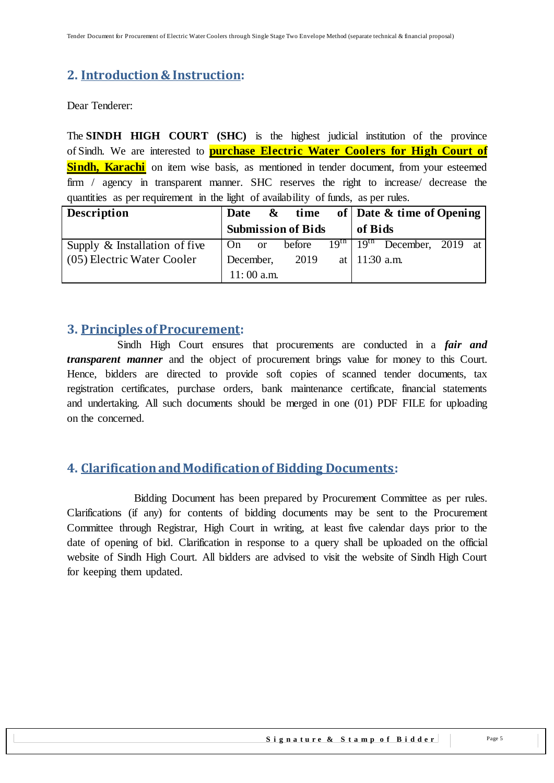# <span id="page-4-0"></span>**2. Introduction& Instruction:**

Dear Tenderer:

The **SINDH HIGH COURT (SHC)** is the highest judicial institution of the province of [Sindh.](https://en.wikipedia.org/wiki/Sindh) We are interested to **purchase Electric Water Coolers for High Court of Sindh, Karachi** on item wise basis, as mentioned in tender document, from your esteemed firm / agency in transparent manner. SHC reserves the right to increase/ decrease the quantities as per requirement in the light of availability of funds, as per rules.

| <b>Description</b>            | <b>Date</b> | $\mathbf{\&}$ | time                      |                 | of   Date $\&$ time of Opening                    |  |
|-------------------------------|-------------|---------------|---------------------------|-----------------|---------------------------------------------------|--|
|                               |             |               | <b>Submission of Bids</b> | of Bids         |                                                   |  |
| Supply & Installation of five | On          | <sub>or</sub> | before                    |                 | $\overline{19^{th}$   $19^{th}$ December, 2019 at |  |
| (05) Electric Water Cooler    | December,   |               | 2019                      | at   11:30 a.m. |                                                   |  |
|                               |             | $11:00$ a.m.  |                           |                 |                                                   |  |

## <span id="page-4-1"></span>**3. Principles of Procurement:**

 Sindh High Court ensures that procurements are conducted in a *fair and transparent manner* and the object of procurement brings value for money to this Court. Hence, bidders are directed to provide soft copies of scanned tender documents, tax registration certificates, purchase orders, bank maintenance certificate, financial statements and undertaking. All such documents should be merged in one (01) PDF FILE for uploading on the concerned.

## <span id="page-4-2"></span>**4. Clarification and Modification of Bidding Documents:**

Bidding Document has been prepared by Procurement Committee as per rules. Clarifications (if any) for contents of bidding documents may be sent to the Procurement Committee through Registrar, High Court in writing, at least five calendar days prior to the date of opening of bid. Clarification in response to a query shall be uploaded on the official website of Sindh High Court. All bidders are advised to visit the website of Sindh High Court for keeping them updated.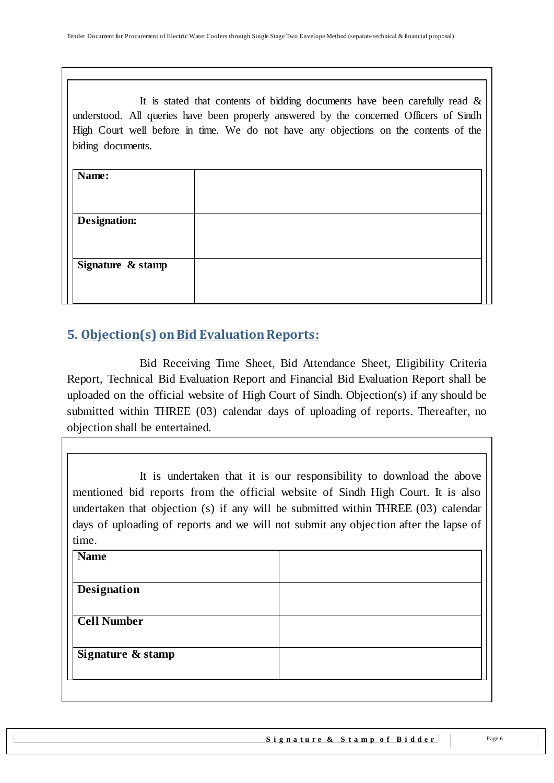It is stated that contents of bidding documents have been carefully read  $\&$ understood. All queries have been properly answered by the concerned Officers of Sindh High Court well before in time. We do not have any objections on the contents of the biding documents.

# <span id="page-5-0"></span>**5. Objection(s) on Bid Evaluation Reports:**

 Bid Receiving Time Sheet, Bid Attendance Sheet, Eligibility Criteria Report, Technical Bid Evaluation Report and Financial Bid Evaluation Report shall be uploaded on the official website of High Court of Sindh. Objection(s) if any should be submitted within THREE (03) calendar days of uploading of reports. Thereafter, no objection shall be entertained.

It is undertaken that it is our responsibility to download the above mentioned bid reports from the official website of Sindh High Court. It is also undertaken that objection (s) if any will be submitted within THREE (03) calendar days of uploading of reports and we will not submit any objection after the lapse of time.

| <b>Name</b>        |  |
|--------------------|--|
|                    |  |
| Designation        |  |
|                    |  |
| <b>Cell Number</b> |  |
|                    |  |
| Signature & stamp  |  |
|                    |  |
|                    |  |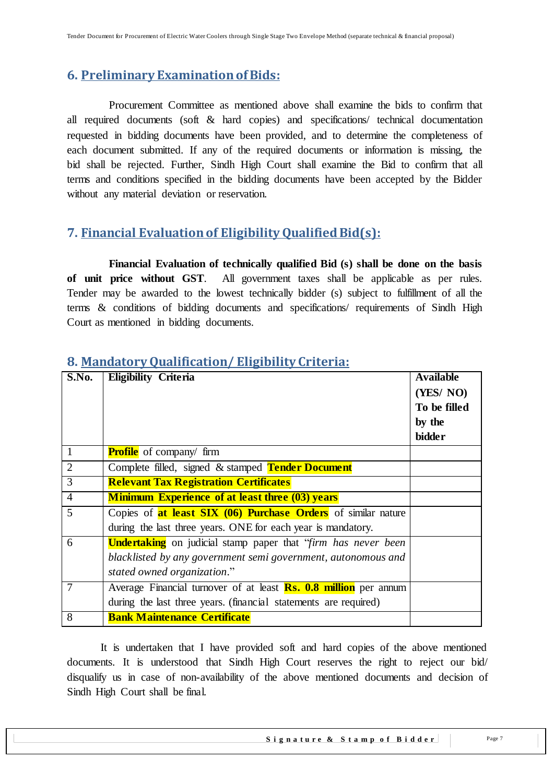# <span id="page-6-0"></span>**6. Preliminary Examination of Bids:**

 Procurement Committee as mentioned above shall examine the bids to confirm that all required documents (soft & hard copies) and specifications/ technical documentation requested in bidding documents have been provided, and to determine the completeness of each document submitted. If any of the required documents or information is missing, the bid shall be rejected. Further, Sindh High Court shall examine the Bid to confirm that all terms and conditions specified in the bidding documents have been accepted by the Bidder without any material deviation or reservation.

# <span id="page-6-1"></span>**7. Financial Evaluation of Eligibility QualifiedBid(s):**

 **Financial Evaluation of technically qualified Bid (s) shall be done on the basis of unit price without GST**. All government taxes shall be applicable as per rules. Tender may be awarded to the lowest technically bidder (s) subject to fulfillment of all the terms & conditions of bidding documents and specifications/ requirements of Sindh High Court as mentioned in bidding documents.

| S.No.          | <b>Eligibility Criteria</b>                                                  | <b>Available</b><br>(YES/NO)<br>To be filled<br>by the<br><b>bidder</b> |
|----------------|------------------------------------------------------------------------------|-------------------------------------------------------------------------|
| $\mathbf{1}$   | <b>Profile</b> of company/ firm                                              |                                                                         |
| $\overline{2}$ | Complete filled, signed & stamped Tender Document                            |                                                                         |
| $\overline{3}$ | <b>Relevant Tax Registration Certificates</b>                                |                                                                         |
| $\overline{4}$ | <b>Minimum Experience of at least three (03) years</b>                       |                                                                         |
| 5              | Copies of <b>at least SIX (06) Purchase Orders</b> of similar nature         |                                                                         |
|                | during the last three years. ONE for each year is mandatory.                 |                                                                         |
| 6              | <b>Undertaking</b> on judicial stamp paper that " <i>firm has never been</i> |                                                                         |
|                | blacklisted by any government semi government, autonomous and                |                                                                         |
|                | stated owned organization."                                                  |                                                                         |
| 7              | Average Financial turnover of at least <b>Rs. 0.8 million</b> per annum      |                                                                         |
|                | during the last three years. (financial statements are required)             |                                                                         |
| $\overline{8}$ | <b>Bank Maintenance Certificate</b>                                          |                                                                         |

## <span id="page-6-2"></span>**8. Mandatory Qualification/ Eligibility Criteria:**

It is undertaken that I have provided soft and hard copies of the above mentioned documents. It is understood that Sindh High Court reserves the right to reject our bid/ disqualify us in case of non-availability of the above mentioned documents and decision of Sindh High Court shall be final.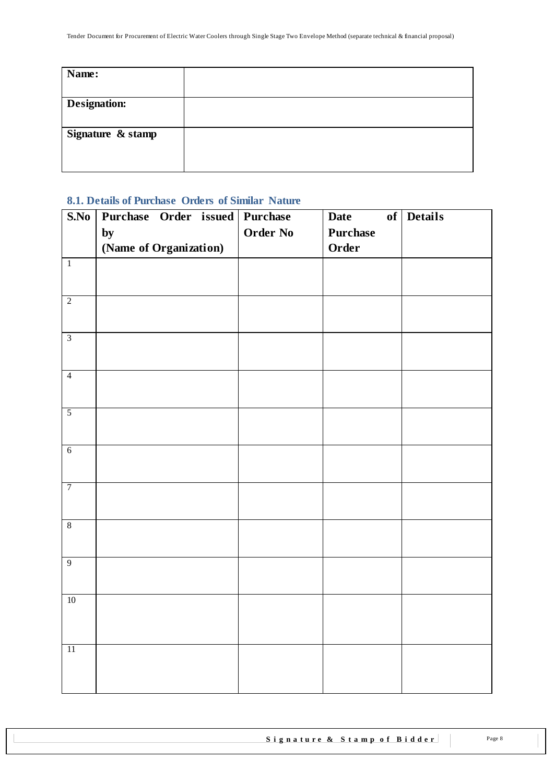| Name:               |  |
|---------------------|--|
|                     |  |
| <b>Designation:</b> |  |
|                     |  |
| Signature & stamp   |  |
|                     |  |
|                     |  |

## <span id="page-7-0"></span>**8.1. Details of Purchase Orders of Similar Nature**

| S.No            | Purchase Order issued Purchase |                 | <b>Date</b>     | of Details |
|-----------------|--------------------------------|-----------------|-----------------|------------|
|                 | by                             | <b>Order No</b> | <b>Purchase</b> |            |
|                 | (Name of Organization)         |                 | Order           |            |
| $\overline{1}$  |                                |                 |                 |            |
|                 |                                |                 |                 |            |
| $\overline{2}$  |                                |                 |                 |            |
|                 |                                |                 |                 |            |
|                 |                                |                 |                 |            |
| $\overline{3}$  |                                |                 |                 |            |
|                 |                                |                 |                 |            |
| $\overline{4}$  |                                |                 |                 |            |
|                 |                                |                 |                 |            |
| $\overline{5}$  |                                |                 |                 |            |
|                 |                                |                 |                 |            |
|                 |                                |                 |                 |            |
| $\overline{6}$  |                                |                 |                 |            |
|                 |                                |                 |                 |            |
| $\overline{7}$  |                                |                 |                 |            |
|                 |                                |                 |                 |            |
| $8\,$           |                                |                 |                 |            |
|                 |                                |                 |                 |            |
| $\overline{9}$  |                                |                 |                 |            |
|                 |                                |                 |                 |            |
|                 |                                |                 |                 |            |
| $10\,$          |                                |                 |                 |            |
|                 |                                |                 |                 |            |
|                 |                                |                 |                 |            |
| $\overline{11}$ |                                |                 |                 |            |
|                 |                                |                 |                 |            |
|                 |                                |                 |                 |            |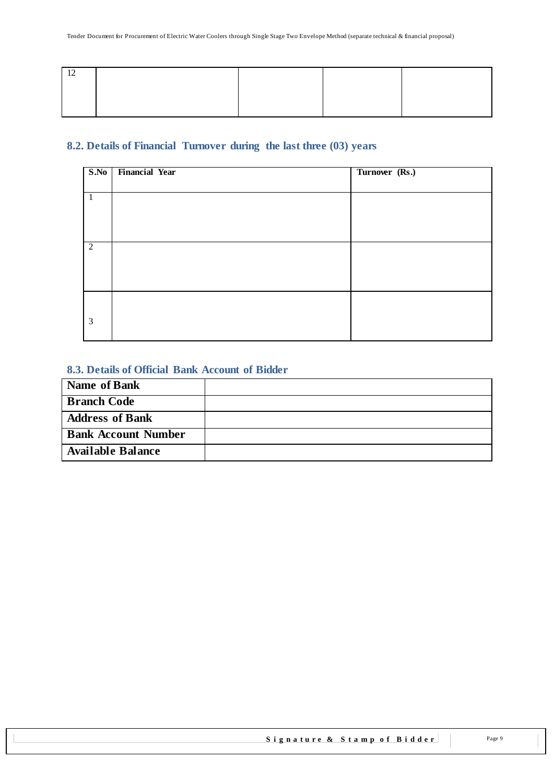## <span id="page-8-0"></span>**8.2. Details of Financial Turnover during the last three (03) years**

| <b>Financial Year</b> | Turnover (Rs.) |
|-----------------------|----------------|
|                       |                |
|                       |                |
|                       |                |
|                       |                |
|                       |                |
|                       |                |
|                       |                |
|                       |                |
|                       |                |
|                       |                |
|                       |                |
|                       |                |
|                       |                |

### <span id="page-8-1"></span>**8.3. Details of Official Bank Account of Bidder**

| Name of Bank               |  |
|----------------------------|--|
| <b>Branch Code</b>         |  |
| <b>Address of Bank</b>     |  |
| <b>Bank Account Number</b> |  |
| <b>Available Balance</b>   |  |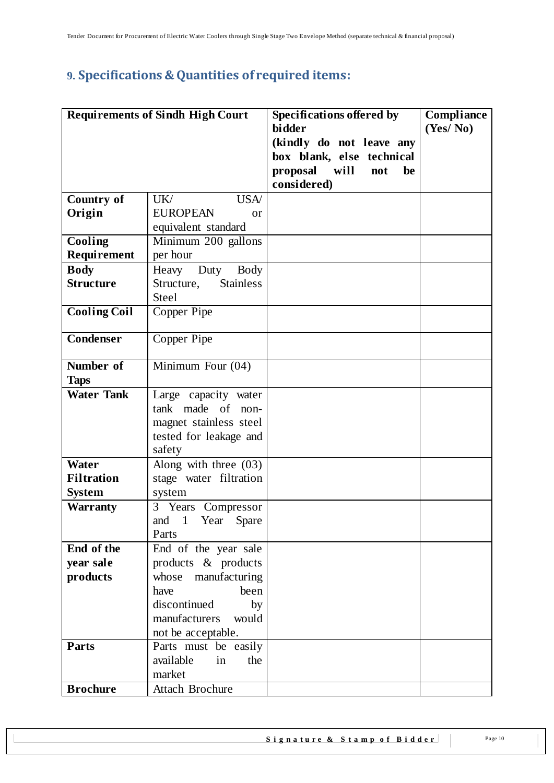# <span id="page-9-0"></span>**9. Specifications & Quantities of required items:**

|                     | <b>Requirements of Sindh High Court</b> | Specifications offered by     | Compliance |
|---------------------|-----------------------------------------|-------------------------------|------------|
|                     |                                         | bidder                        | (Yes/No)   |
|                     |                                         | (kindly do not leave any      |            |
|                     |                                         | box blank, else technical     |            |
|                     |                                         | proposal<br>will<br>not<br>be |            |
|                     |                                         | considered)                   |            |
| <b>Country of</b>   | UK/<br><b>USA</b>                       |                               |            |
| Origin              | <b>EUROPEAN</b><br>$\alpha$             |                               |            |
|                     | equivalent standard                     |                               |            |
| Cooling             | Minimum 200 gallons                     |                               |            |
| Requirement         | per hour                                |                               |            |
| <b>Body</b>         | Heavy<br>Duty<br>Body                   |                               |            |
| <b>Structure</b>    | Structure,<br><b>Stainless</b>          |                               |            |
|                     | <b>Steel</b>                            |                               |            |
| <b>Cooling Coil</b> | Copper Pipe                             |                               |            |
|                     |                                         |                               |            |
| <b>Condenser</b>    | Copper Pipe                             |                               |            |
|                     |                                         |                               |            |
| Number of           | Minimum Four $(04)$                     |                               |            |
| <b>Taps</b>         |                                         |                               |            |
| <b>Water Tank</b>   | Large capacity water                    |                               |            |
|                     | tank made of non-                       |                               |            |
|                     | magnet stainless steel                  |                               |            |
|                     | tested for leakage and                  |                               |            |
|                     | safety                                  |                               |            |
| Water               | Along with three $(03)$                 |                               |            |
| <b>Filtration</b>   | stage water filtration                  |                               |            |
| <b>System</b>       | system                                  |                               |            |
| <b>Warranty</b>     | 3 Years Compressor                      |                               |            |
|                     | and 1 Year Spare                        |                               |            |
|                     | Parts                                   |                               |            |
| End of the          | End of the year sale                    |                               |            |
| year sale           | products & products                     |                               |            |
| products            | whose manufacturing                     |                               |            |
|                     | been<br>have                            |                               |            |
|                     | discontinued<br>by                      |                               |            |
|                     | manufacturers<br>would                  |                               |            |
|                     | not be acceptable.                      |                               |            |
| Parts               | Parts must be easily                    |                               |            |
|                     | available<br>the<br>in                  |                               |            |
|                     | market                                  |                               |            |
| <b>Brochure</b>     | Attach Brochure                         |                               |            |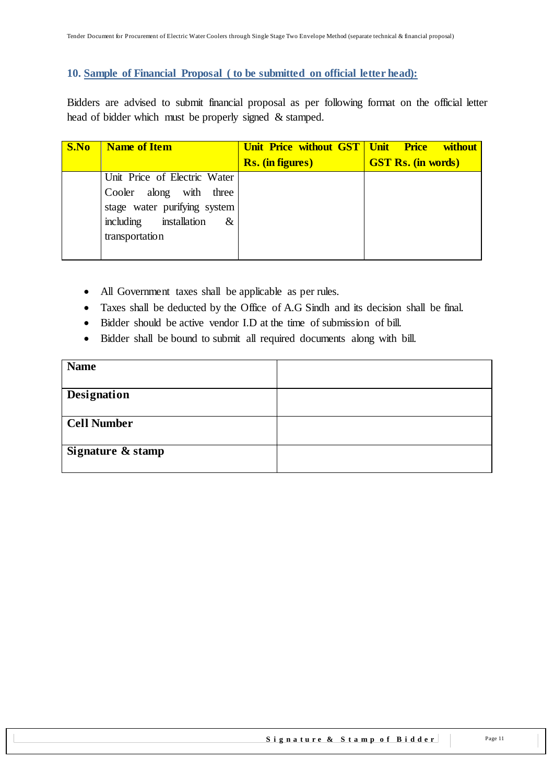#### <span id="page-10-0"></span>**10. Sample of Financial Proposal ( to be submitted on official letter head):**

Bidders are advised to submit financial proposal as per following format on the official letter head of bidder which must be properly signed & stamped.

| S.No | <b>Name of Item</b>          | Unit Price without GST   Unit Price | <b>without</b>            |
|------|------------------------------|-------------------------------------|---------------------------|
|      |                              | <b>Rs.</b> (in figures)             | <b>GST Rs. (in words)</b> |
|      | Unit Price of Electric Water |                                     |                           |
|      | Cooler along with three      |                                     |                           |
|      | stage water purifying system |                                     |                           |
|      | including installation<br>&  |                                     |                           |
|      | transportation               |                                     |                           |
|      |                              |                                     |                           |

- All Government taxes shall be applicable as per rules.
- Taxes shall be deducted by the Office of A.G Sindh and its decision shall be final.
- Bidder should be active vendor I.D at the time of submission of bill.
- Bidder shall be bound to submit all required documents along with bill.

| <b>Name</b>        |  |
|--------------------|--|
| <b>Designation</b> |  |
| <b>Cell Number</b> |  |
|                    |  |
| Signature & stamp  |  |
|                    |  |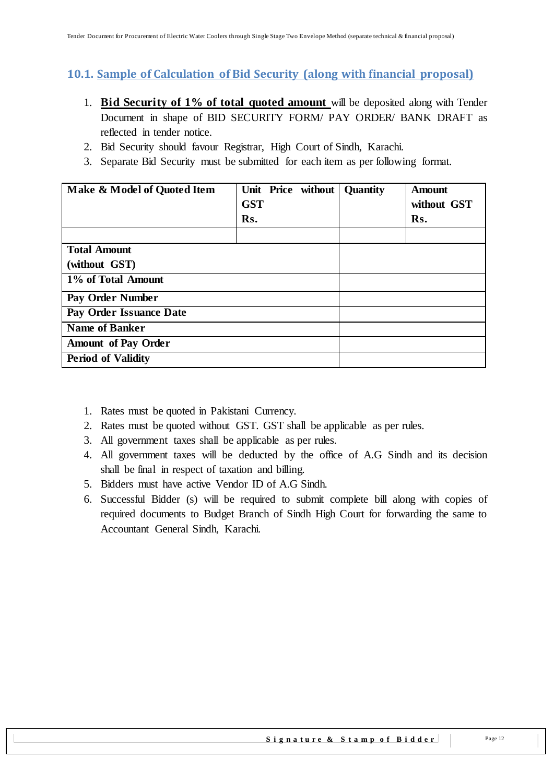# <span id="page-11-0"></span>**10.1. Sample of Calculation of Bid Security (along with financial proposal)**

- 1. **Bid Security of 1% of total quoted amount** will be deposited along with Tender Document in shape of BID SECURITY FORM/ PAY ORDER/ BANK DRAFT as reflected in tender notice.
- 2. Bid Security should favour Registrar, High Court of Sindh, Karachi.
- 3. Separate Bid Security must be submitted for each item as per following format.

| Make & Model of Quoted Item          | Unit Price without<br><b>GST</b><br>Rs. | <b>Quantity</b> | <b>Amount</b><br>without GST<br>Rs. |
|--------------------------------------|-----------------------------------------|-----------------|-------------------------------------|
| <b>Total Amount</b><br>(without GST) |                                         |                 |                                     |
| 1% of Total Amount                   |                                         |                 |                                     |
| Pay Order Number                     |                                         |                 |                                     |
| Pay Order Issuance Date              |                                         |                 |                                     |
| <b>Name of Banker</b>                |                                         |                 |                                     |
| <b>Amount of Pay Order</b>           |                                         |                 |                                     |
| <b>Period of Validity</b>            |                                         |                 |                                     |

- 1. Rates must be quoted in Pakistani Currency.
- 2. Rates must be quoted without GST. GST shall be applicable as per rules.
- 3. All government taxes shall be applicable as per rules.
- 4. All government taxes will be deducted by the office of A.G Sindh and its decision shall be final in respect of taxation and billing.
- 5. Bidders must have active Vendor ID of A.G Sindh.
- 6. Successful Bidder (s) will be required to submit complete bill along with copies of required documents to Budget Branch of Sindh High Court for forwarding the same to Accountant General Sindh, Karachi.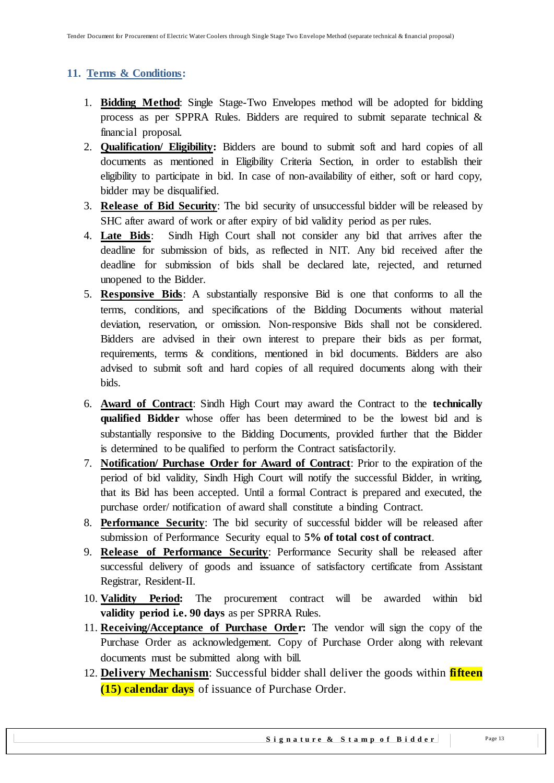## <span id="page-12-0"></span>**11. Terms & Conditions:**

- 1. **Bidding Method**: Single Stage-Two Envelopes method will be adopted for bidding process as per SPPRA Rules. Bidders are required to submit separate technical & financial proposal.
- 2. **Qualification/ Eligibility:** Bidders are bound to submit soft and hard copies of all documents as mentioned in Eligibility Criteria Section, in order to establish their eligibility to participate in bid. In case of non-availability of either, soft or hard copy, bidder may be disqualified.
- 3. **Release of Bid Security**: The bid security of unsuccessful bidder will be released by SHC after award of work or after expiry of bid validity period as per rules.
- 4. **Late Bids**: Sindh High Court shall not consider any bid that arrives after the deadline for submission of bids, as reflected in NIT. Any bid received after the deadline for submission of bids shall be declared late, rejected, and returned unopened to the Bidder.
- 5. **Responsive Bids**: A substantially responsive Bid is one that conforms to all the terms, conditions, and specifications of the Bidding Documents without material deviation, reservation, or omission. Non-responsive Bids shall not be considered. Bidders are advised in their own interest to prepare their bids as per format, requirements, terms & conditions, mentioned in bid documents. Bidders are also advised to submit soft and hard copies of all required documents along with their bids.
- 6. **Award of Contract**: Sindh High Court may award the Contract to the **technically qualified Bidder** whose offer has been determined to be the lowest bid and is substantially responsive to the Bidding Documents, provided further that the Bidder is determined to be qualified to perform the Contract satisfactorily.
- 7. **Notification/ Purchase Order for Award of Contract**: Prior to the expiration of the period of bid validity, Sindh High Court will notify the successful Bidder, in writing, that its Bid has been accepted. Until a formal Contract is prepared and executed, the purchase order/ notification of award shall constitute a binding Contract.
- 8. **Performance Security**: The bid security of successful bidder will be released after submission of Performance Security equal to **5% of total cost of contract**.
- 9. **Release of Performance Security**: Performance Security shall be released after successful delivery of goods and issuance of satisfactory certificate from Assistant Registrar, Resident-II.
- 10. **Validity Period:** The procurement contract will be awarded within bid **validity period i.e. 90 days** as per SPRRA Rules.
- 11. **Receiving/Acceptance of Purchase Order:** The vendor will sign the copy of the Purchase Order as acknowledgement. Copy of Purchase Order along with relevant documents must be submitted along with bill.
- 12. **Delivery Mechanism**: Successful bidder shall deliver the goods within **fifteen (15) calendar days** of issuance of Purchase Order.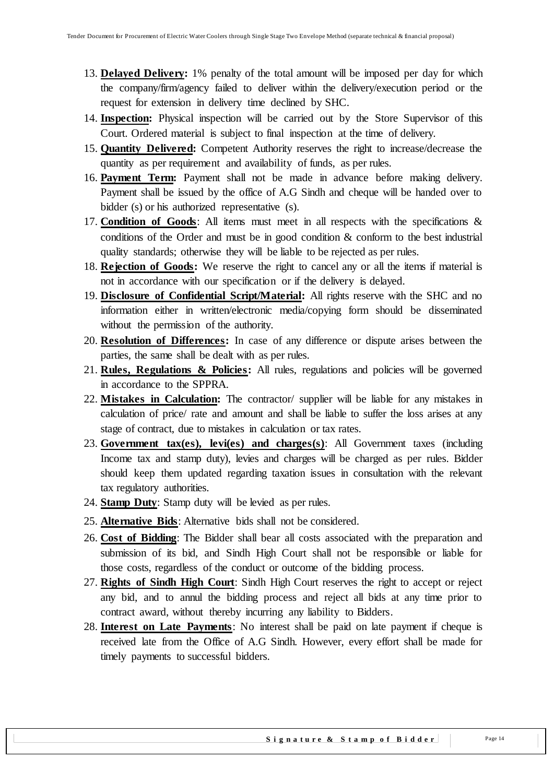- 13. **Delayed Delivery:** 1% penalty of the total amount will be imposed per day for which the company/firm/agency failed to deliver within the delivery/execution period or the request for extension in delivery time declined by SHC.
- 14. **Inspection:** Physical inspection will be carried out by the Store Supervisor of this Court. Ordered material is subject to final inspection at the time of delivery.
- 15. **Quantity Delivered:** Competent Authority reserves the right to increase/decrease the quantity as per requirement and availability of funds, as per rules.
- 16. **Payment Term:** Payment shall not be made in advance before making delivery. Payment shall be issued by the office of A.G Sindh and cheque will be handed over to bidder (s) or his authorized representative (s).
- 17. **Condition of Goods**: All items must meet in all respects with the specifications & conditions of the Order and must be in good condition & conform to the best industrial quality standards; otherwise they will be liable to be rejected as per rules.
- 18. **Rejection of Goods:** We reserve the right to cancel any or all the items if material is not in accordance with our specification or if the delivery is delayed.
- 19. **Disclosure of Confidential Script/Material:** All rights reserve with the SHC and no information either in written/electronic media/copying form should be disseminated without the permission of the authority.
- 20. **Resolution of Differences:** In case of any difference or dispute arises between the parties, the same shall be dealt with as per rules.
- 21. **Rules, Regulations & Policies:** All rules, regulations and policies will be governed in accordance to the SPPRA.
- 22. **Mistakes in Calculation:** The contractor/ supplier will be liable for any mistakes in calculation of price/ rate and amount and shall be liable to suffer the loss arises at any stage of contract, due to mistakes in calculation or tax rates.
- 23. **Government tax(es), levi(es) and charges(s)**: All Government taxes (including Income tax and stamp duty), levies and charges will be charged as per rules. Bidder should keep them updated regarding taxation issues in consultation with the relevant tax regulatory authorities.
- 24. **Stamp Duty**: Stamp duty will be levied as per rules.
- 25. **Alternative Bids**: Alternative bids shall not be considered.
- 26. **Cost of Bidding**: The Bidder shall bear all costs associated with the preparation and submission of its bid, and Sindh High Court shall not be responsible or liable for those costs, regardless of the conduct or outcome of the bidding process.
- 27. **Rights of Sindh High Court**: Sindh High Court reserves the right to accept or reject any bid, and to annul the bidding process and reject all bids at any time prior to contract award, without thereby incurring any liability to Bidders.
- 28. **Interest on Late Payments**: No interest shall be paid on late payment if cheque is received late from the Office of A.G Sindh. However, every effort shall be made for timely payments to successful bidders.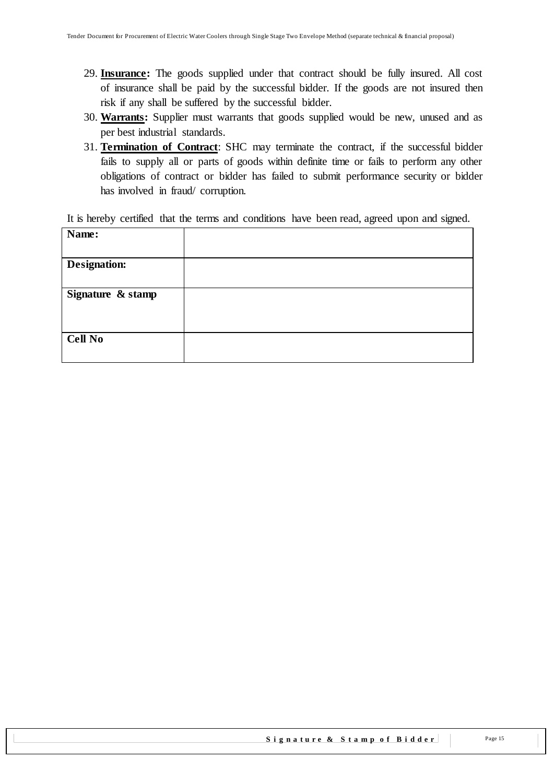- 29. **Insurance:** The goods supplied under that contract should be fully insured. All cost of insurance shall be paid by the successful bidder. If the goods are not insured then risk if any shall be suffered by the successful bidder.
- 30. **Warrants:** Supplier must warrants that goods supplied would be new, unused and as per best industrial standards.
- 31. **Termination of Contract**: SHC may terminate the contract, if the successful bidder fails to supply all or parts of goods within definite time or fails to perform any other obligations of contract or bidder has failed to submit performance security or bidder has involved in fraud/ corruption.

It is hereby certified that the terms and conditions have been read, agreed upon and signed.

| Name:               |  |
|---------------------|--|
|                     |  |
| <b>Designation:</b> |  |
|                     |  |
| Signature & stamp   |  |
|                     |  |
|                     |  |
| <b>Cell No</b>      |  |
|                     |  |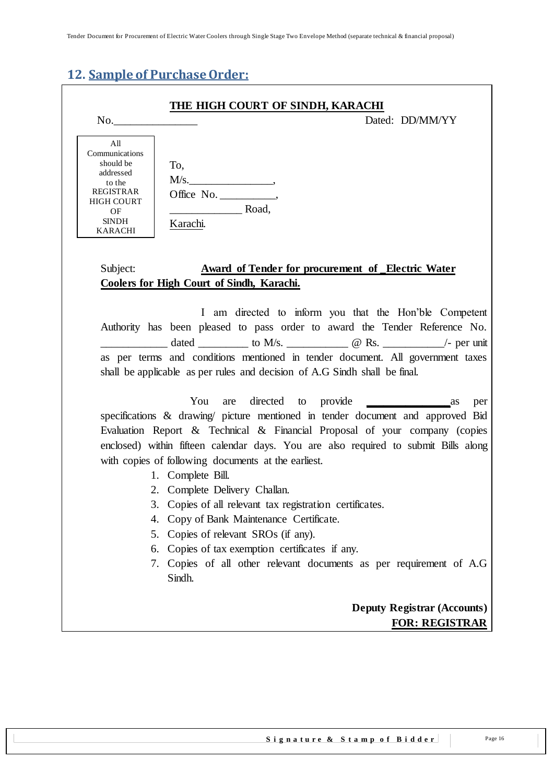# <span id="page-15-0"></span>**12. Sample of Purchase Order:**

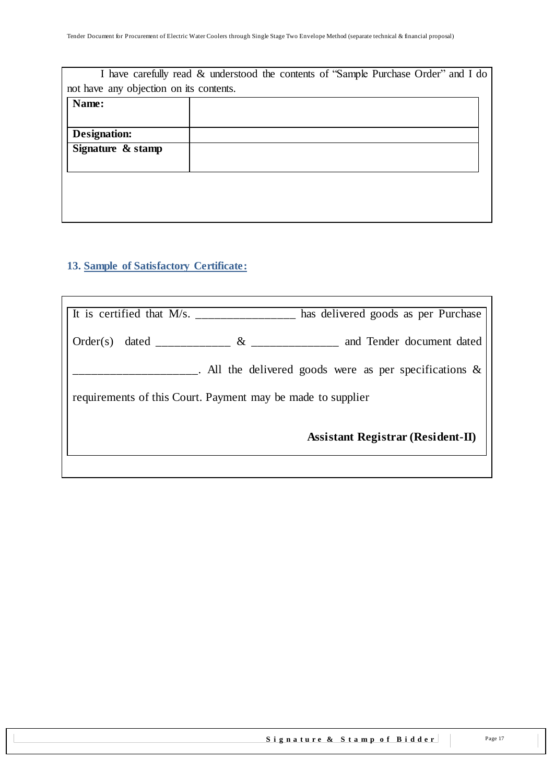| I have carefully read & understood the contents of "Sample Purchase Order" and I do |  |  |  |
|-------------------------------------------------------------------------------------|--|--|--|
| not have any objection on its contents.                                             |  |  |  |
| Name:                                                                               |  |  |  |
|                                                                                     |  |  |  |
| Designation:                                                                        |  |  |  |
| Signature & stamp                                                                   |  |  |  |
|                                                                                     |  |  |  |
|                                                                                     |  |  |  |
|                                                                                     |  |  |  |
|                                                                                     |  |  |  |
|                                                                                     |  |  |  |

# <span id="page-16-0"></span>**13. Sample of Satisfactory Certificate:**

Ī

|  | has delivered goods as per Purchase                                            |
|--|--------------------------------------------------------------------------------|
|  | $Order(s)$ dated _______________ & _________________ and Tender document dated |
|  | $\Box$ . All the delivered goods were as per specifications &                  |
|  | requirements of this Court. Payment may be made to supplier                    |
|  | <b>Assistant Registrar (Resident-II)</b>                                       |
|  |                                                                                |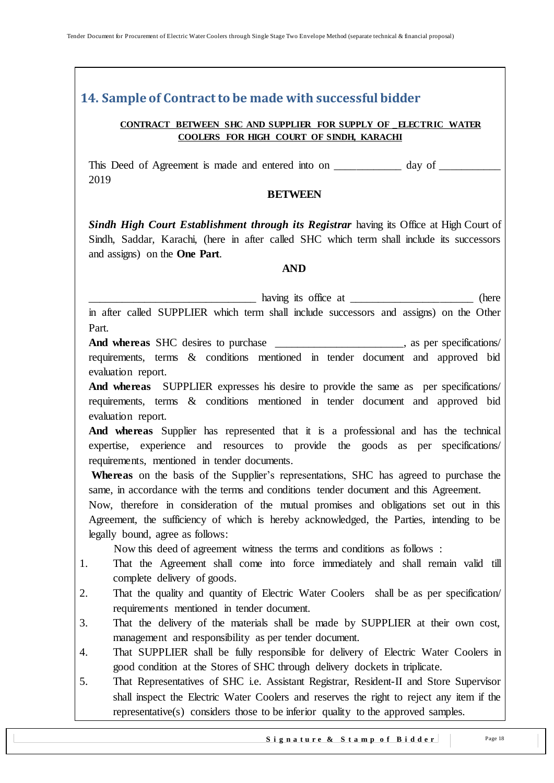# <span id="page-17-0"></span>**14. Sample of Contract to be made with successful bidder**

#### **CONTRACT BETWEEN SHC AND SUPPLIER FOR SUPPLY OF \_ELECTRIC WATER COOLERS FOR HIGH COURT OF SINDH, KARACHI**

This Deed of Agreement is made and entered into on \_\_\_\_\_\_\_\_\_\_\_\_ day of 2019

#### **BETWEEN**

**Sindh High Court Establishment through its Registrar** having its Office at High Court of Sindh, Saddar, Karachi, (here in after called SHC which term shall include its successors and assigns) on the **One Part**.

#### **AND**

having its office at \_\_\_\_\_\_\_\_\_\_\_\_\_\_\_\_\_\_\_\_\_\_\_\_\_ (here

in after called SUPPLIER which term shall include successors and assigns) on the Other Part.

And whereas SHC desires to purchase \_\_\_\_\_\_\_\_\_\_\_\_\_\_\_\_, as per specifications/ requirements, terms & conditions mentioned in tender document and approved bid evaluation report.

**And whereas** SUPPLIER expresses his desire to provide the same as per specifications/ requirements, terms & conditions mentioned in tender document and approved bid evaluation report.

**And whereas** Supplier has represented that it is a professional and has the technical expertise, experience and resources to provide the goods as per specifications/ requirements, mentioned in tender documents.

Whereas on the basis of the Supplier's representations, SHC has agreed to purchase the same, in accordance with the terms and conditions tender document and this Agreement.

Now, therefore in consideration of the mutual promises and obligations set out in this Agreement, the sufficiency of which is hereby acknowledged, the Parties, intending to be legally bound, agree as follows:

Now this deed of agreement witness the terms and conditions as follows :

- 1. That the Agreement shall come into force immediately and shall remain valid till complete delivery of goods.
- 2. That the quality and quantity of Electric Water Coolers shall be as per specification/ requirements mentioned in tender document.
- 3. That the delivery of the materials shall be made by SUPPLIER at their own cost, management and responsibility as per tender document.
- 4. That SUPPLIER shall be fully responsible for delivery of Electric Water Coolers in good condition at the Stores of SHC through delivery dockets in triplicate.
- 5. That Representatives of SHC i.e. Assistant Registrar, Resident-II and Store Supervisor shall inspect the Electric Water Coolers and reserves the right to reject any item if the representative(s) considers those to be inferior quality to the approved samples.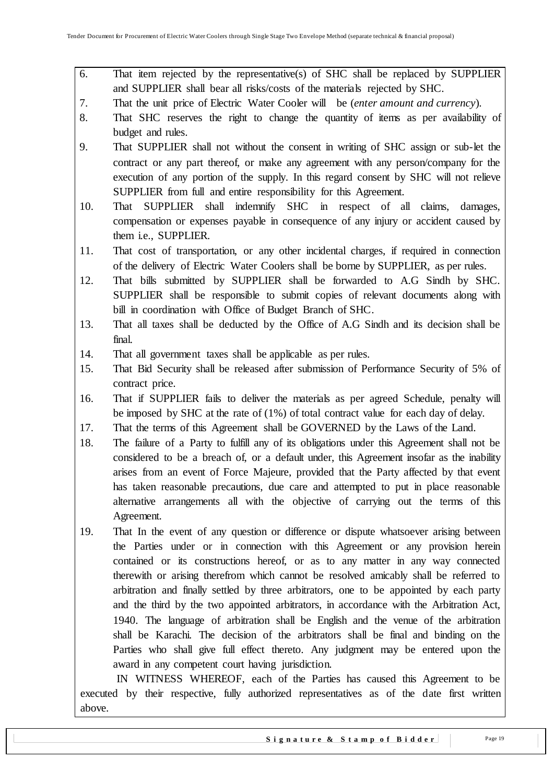- 6. That item rejected by the representative(s) of SHC shall be replaced by SUPPLIER and SUPPLIER shall bear all risks/costs of the materials rejected by SHC.
- 7. That the unit price of Electric Water Cooler will be (*enter amount and currency*).
- 8. That SHC reserves the right to change the quantity of items as per availability of budget and rules.
- 9. That SUPPLIER shall not without the consent in writing of SHC assign or sub-let the contract or any part thereof, or make any agreement with any person/company for the execution of any portion of the supply. In this regard consent by SHC will not relieve SUPPLIER from full and entire responsibility for this Agreement.
- 10. That SUPPLIER shall indemnify SHC in respect of all claims, damages, compensation or expenses payable in consequence of any injury or accident caused by them i.e., SUPPLIER.
- 11. That cost of transportation, or any other incidental charges, if required in connection of the delivery of Electric Water Coolers shall be borne by SUPPLIER, as per rules.
- 12. That bills submitted by SUPPLIER shall be forwarded to A.G Sindh by SHC. SUPPLIER shall be responsible to submit copies of relevant documents along with bill in coordination with Office of Budget Branch of SHC.
- 13. That all taxes shall be deducted by the Office of A.G Sindh and its decision shall be final.
- 14. That all government taxes shall be applicable as per rules.
- 15. That Bid Security shall be released after submission of Performance Security of 5% of contract price.
- 16. That if SUPPLIER fails to deliver the materials as per agreed Schedule, penalty will be imposed by SHC at the rate of (1%) of total contract value for each day of delay.
- 17. That the terms of this Agreement shall be GOVERNED by the Laws of the Land.
- 18. The failure of a Party to fulfill any of its obligations under this Agreement shall not be considered to be a breach of, or a default under, this Agreement insofar as the inability arises from an event of Force Majeure, provided that the Party affected by that event has taken reasonable precautions, due care and attempted to put in place reasonable alternative arrangements all with the objective of carrying out the terms of this Agreement.
- 19. That In the event of any question or difference or dispute whatsoever arising between the Parties under or in connection with this Agreement or any provision herein contained or its constructions hereof, or as to any matter in any way connected therewith or arising therefrom which cannot be resolved amicably shall be referred to arbitration and finally settled by three arbitrators, one to be appointed by each party and the third by the two appointed arbitrators, in accordance with the Arbitration Act, 1940. The language of arbitration shall be English and the venue of the arbitration shall be Karachi. The decision of the arbitrators shall be final and binding on the Parties who shall give full effect thereto. Any judgment may be entered upon the award in any competent court having jurisdiction.

 IN WITNESS WHEREOF, each of the Parties has caused this Agreement to be executed by their respective, fully authorized representatives as of the date first written above.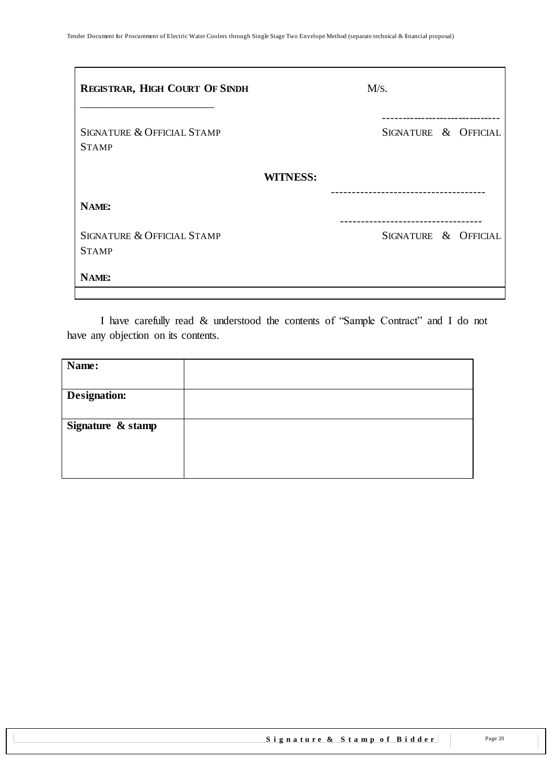| <b>REGISTRAR, HIGH COURT OF SINDH</b>      | M/S.                        |
|--------------------------------------------|-----------------------------|
| SIGNATURE & OFFICIAL STAMP<br><b>STAMP</b> | SIGNATURE & OFFICIAL        |
|                                            | <b>WITNESS:</b>             |
| NAME:                                      | --------------------------- |
| SIGNATURE & OFFICIAL STAMP<br><b>STAMP</b> | SIGNATURE & OFFICIAL        |
| NAME:                                      |                             |

I have carefully read & understood the contents of "Sample Contract" and I do not have any objection on its contents.

| Name:               |  |
|---------------------|--|
|                     |  |
| <b>Designation:</b> |  |
|                     |  |
| Signature & stamp   |  |
|                     |  |
|                     |  |
|                     |  |